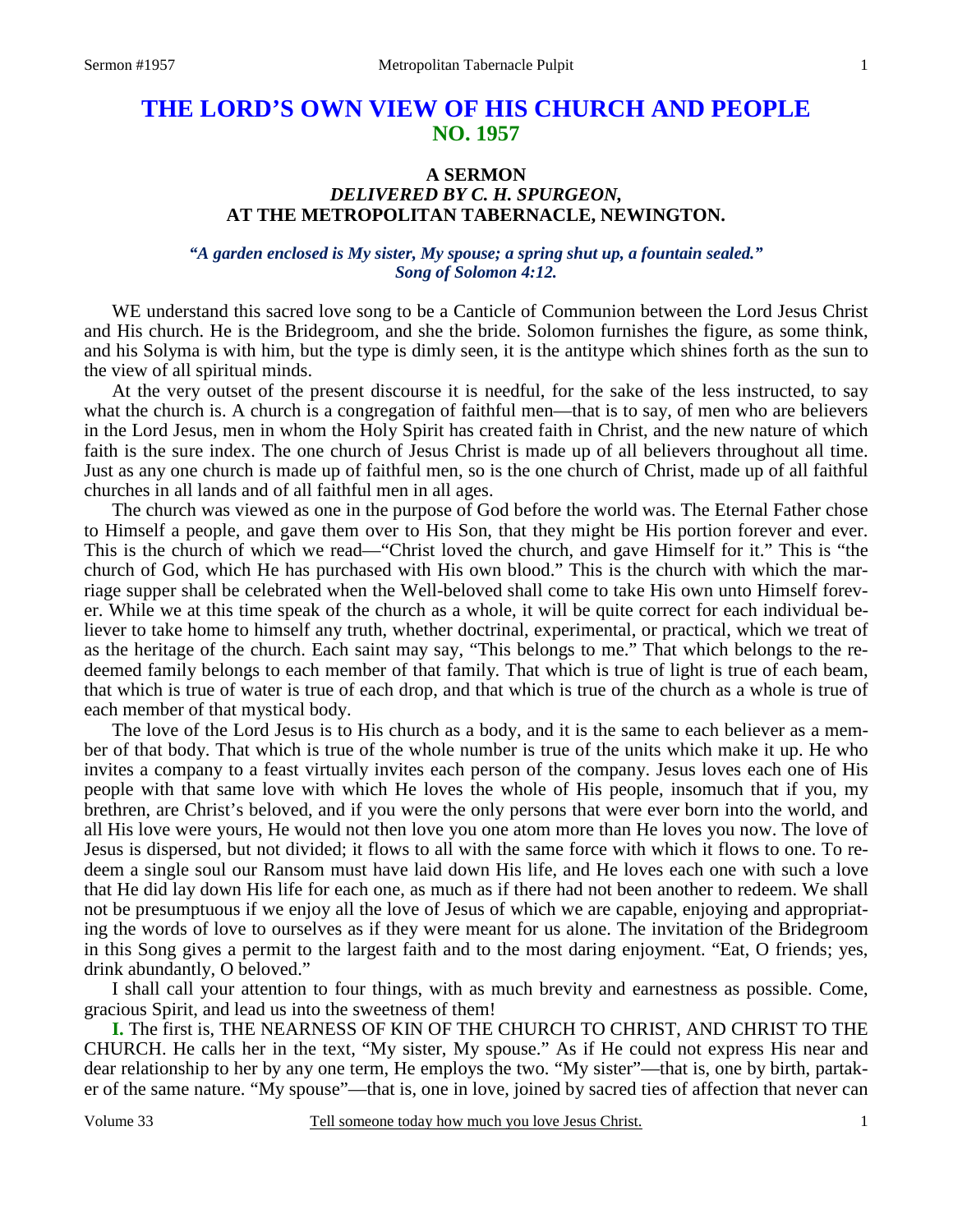# **THE LORD'S OWN VIEW OF HIS CHURCH AND PEOPLE NO. 1957**

# **A SERMON**  *DELIVERED BY C. H. SPURGEON,*  **AT THE METROPOLITAN TABERNACLE, NEWINGTON.**

### *"A garden enclosed is My sister, My spouse; a spring shut up, a fountain sealed." Song of Solomon 4:12.*

WE understand this sacred love song to be a Canticle of Communion between the Lord Jesus Christ and His church. He is the Bridegroom, and she the bride. Solomon furnishes the figure, as some think, and his Solyma is with him, but the type is dimly seen, it is the antitype which shines forth as the sun to the view of all spiritual minds.

At the very outset of the present discourse it is needful, for the sake of the less instructed, to say what the church is. A church is a congregation of faithful men—that is to say, of men who are believers in the Lord Jesus, men in whom the Holy Spirit has created faith in Christ, and the new nature of which faith is the sure index. The one church of Jesus Christ is made up of all believers throughout all time. Just as any one church is made up of faithful men, so is the one church of Christ, made up of all faithful churches in all lands and of all faithful men in all ages.

The church was viewed as one in the purpose of God before the world was. The Eternal Father chose to Himself a people, and gave them over to His Son, that they might be His portion forever and ever. This is the church of which we read—"Christ loved the church, and gave Himself for it." This is "the church of God, which He has purchased with His own blood." This is the church with which the marriage supper shall be celebrated when the Well-beloved shall come to take His own unto Himself forever. While we at this time speak of the church as a whole, it will be quite correct for each individual believer to take home to himself any truth, whether doctrinal, experimental, or practical, which we treat of as the heritage of the church. Each saint may say, "This belongs to me." That which belongs to the redeemed family belongs to each member of that family. That which is true of light is true of each beam, that which is true of water is true of each drop, and that which is true of the church as a whole is true of each member of that mystical body.

The love of the Lord Jesus is to His church as a body, and it is the same to each believer as a member of that body. That which is true of the whole number is true of the units which make it up. He who invites a company to a feast virtually invites each person of the company. Jesus loves each one of His people with that same love with which He loves the whole of His people, insomuch that if you, my brethren, are Christ's beloved, and if you were the only persons that were ever born into the world, and all His love were yours, He would not then love you one atom more than He loves you now. The love of Jesus is dispersed, but not divided; it flows to all with the same force with which it flows to one. To redeem a single soul our Ransom must have laid down His life, and He loves each one with such a love that He did lay down His life for each one, as much as if there had not been another to redeem. We shall not be presumptuous if we enjoy all the love of Jesus of which we are capable, enjoying and appropriating the words of love to ourselves as if they were meant for us alone. The invitation of the Bridegroom in this Song gives a permit to the largest faith and to the most daring enjoyment. "Eat, O friends; yes, drink abundantly, O beloved."

I shall call your attention to four things, with as much brevity and earnestness as possible. Come, gracious Spirit, and lead us into the sweetness of them!

**I.** The first is, THE NEARNESS OF KIN OF THE CHURCH TO CHRIST, AND CHRIST TO THE CHURCH. He calls her in the text, "My sister, My spouse." As if He could not express His near and dear relationship to her by any one term, He employs the two. "My sister"—that is, one by birth, partaker of the same nature. "My spouse"—that is, one in love, joined by sacred ties of affection that never can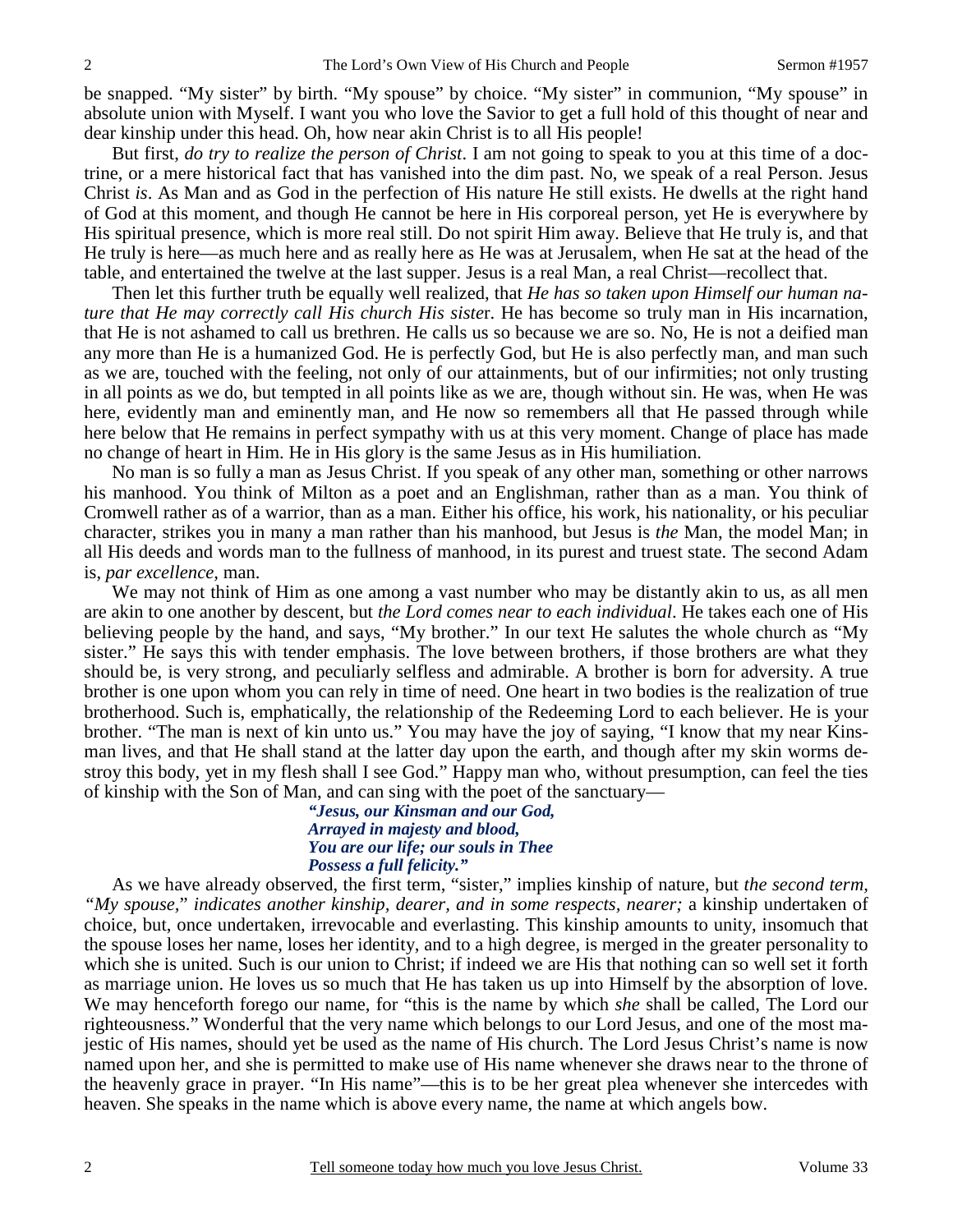be snapped. "My sister" by birth. "My spouse" by choice. "My sister" in communion, "My spouse" in absolute union with Myself. I want you who love the Savior to get a full hold of this thought of near and dear kinship under this head. Oh, how near akin Christ is to all His people!

But first, *do try to realize the person of Christ*. I am not going to speak to you at this time of a doctrine, or a mere historical fact that has vanished into the dim past. No, we speak of a real Person. Jesus Christ *is*. As Man and as God in the perfection of His nature He still exists. He dwells at the right hand of God at this moment, and though He cannot be here in His corporeal person, yet He is everywhere by His spiritual presence, which is more real still. Do not spirit Him away. Believe that He truly is, and that He truly is here—as much here and as really here as He was at Jerusalem, when He sat at the head of the table, and entertained the twelve at the last supper. Jesus is a real Man, a real Christ—recollect that.

Then let this further truth be equally well realized, that *He has so taken upon Himself our human nature that He may correctly call His church His siste*r. He has become so truly man in His incarnation, that He is not ashamed to call us brethren. He calls us so because we are so. No, He is not a deified man any more than He is a humanized God. He is perfectly God, but He is also perfectly man, and man such as we are, touched with the feeling, not only of our attainments, but of our infirmities; not only trusting in all points as we do, but tempted in all points like as we are, though without sin. He was, when He was here, evidently man and eminently man, and He now so remembers all that He passed through while here below that He remains in perfect sympathy with us at this very moment. Change of place has made no change of heart in Him. He in His glory is the same Jesus as in His humiliation.

No man is so fully a man as Jesus Christ. If you speak of any other man, something or other narrows his manhood. You think of Milton as a poet and an Englishman, rather than as a man. You think of Cromwell rather as of a warrior, than as a man. Either his office, his work, his nationality, or his peculiar character, strikes you in many a man rather than his manhood, but Jesus is *the* Man, the model Man; in all His deeds and words man to the fullness of manhood, in its purest and truest state. The second Adam is, *par excellence,* man.

We may not think of Him as one among a vast number who may be distantly akin to us, as all men are akin to one another by descent, but *the Lord comes near to each individual*. He takes each one of His believing people by the hand, and says, "My brother." In our text He salutes the whole church as "My sister." He says this with tender emphasis. The love between brothers, if those brothers are what they should be, is very strong, and peculiarly selfless and admirable. A brother is born for adversity. A true brother is one upon whom you can rely in time of need. One heart in two bodies is the realization of true brotherhood. Such is, emphatically, the relationship of the Redeeming Lord to each believer. He is your brother. "The man is next of kin unto us." You may have the joy of saying, "I know that my near Kinsman lives, and that He shall stand at the latter day upon the earth, and though after my skin worms destroy this body, yet in my flesh shall I see God." Happy man who, without presumption, can feel the ties of kinship with the Son of Man, and can sing with the poet of the sanctuary—

> *"Jesus, our Kinsman and our God, Arrayed in majesty and blood, You are our life; our souls in Thee Possess a full felicity."*

As we have already observed, the first term, "sister," implies kinship of nature, but *the second term, "My spouse,*" *indicates another kinship, dearer, and in some respects, nearer;* a kinship undertaken of choice, but, once undertaken, irrevocable and everlasting. This kinship amounts to unity, insomuch that the spouse loses her name, loses her identity, and to a high degree, is merged in the greater personality to which she is united. Such is our union to Christ; if indeed we are His that nothing can so well set it forth as marriage union. He loves us so much that He has taken us up into Himself by the absorption of love. We may henceforth forego our name, for "this is the name by which *she* shall be called, The Lord our righteousness." Wonderful that the very name which belongs to our Lord Jesus, and one of the most majestic of His names, should yet be used as the name of His church. The Lord Jesus Christ's name is now named upon her, and she is permitted to make use of His name whenever she draws near to the throne of the heavenly grace in prayer. "In His name"—this is to be her great plea whenever she intercedes with heaven. She speaks in the name which is above every name, the name at which angels bow.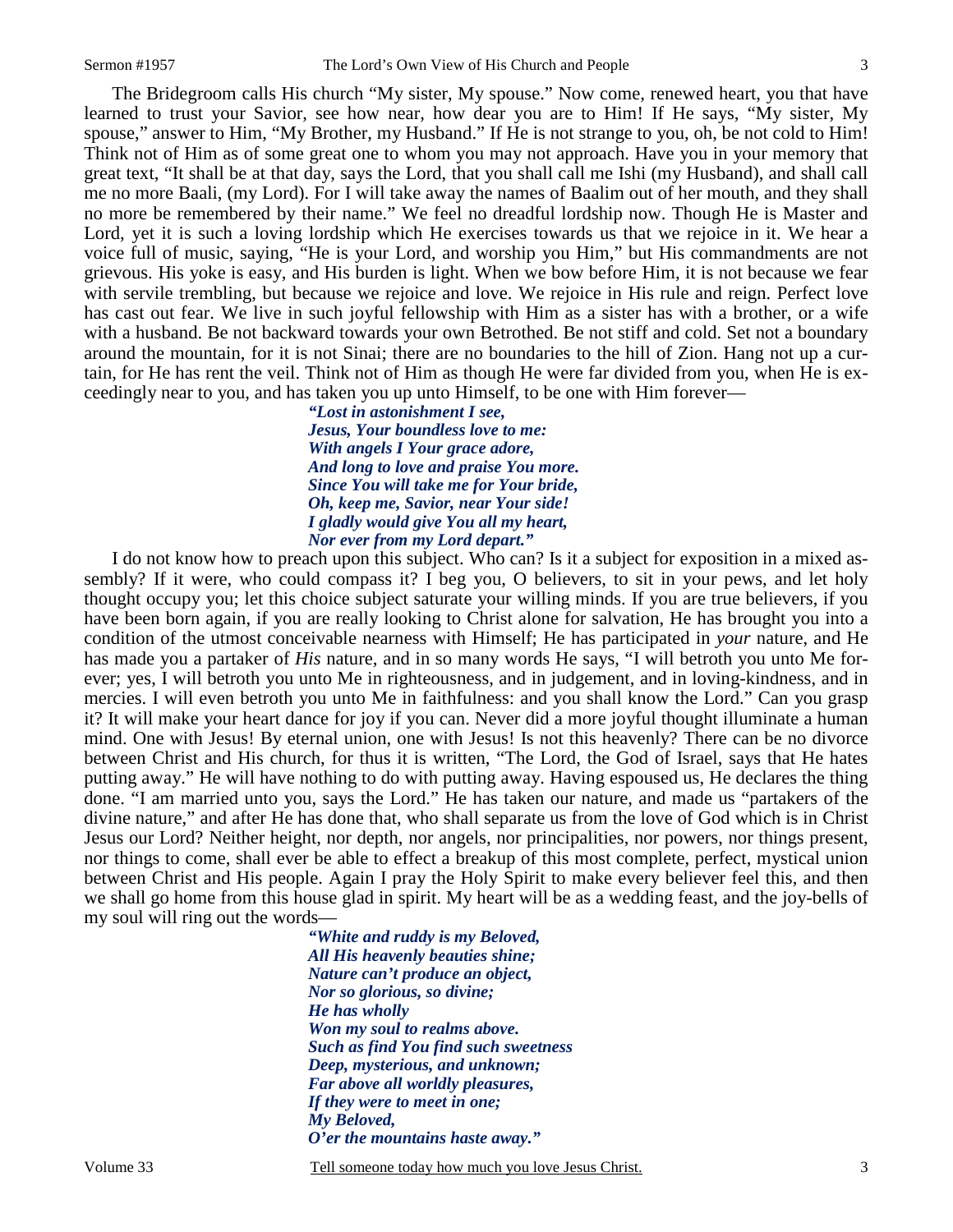The Bridegroom calls His church "My sister, My spouse." Now come, renewed heart, you that have learned to trust your Savior, see how near, how dear you are to Him! If He says, "My sister, My spouse," answer to Him, "My Brother, my Husband." If He is not strange to you, oh, be not cold to Him! Think not of Him as of some great one to whom you may not approach. Have you in your memory that great text, "It shall be at that day, says the Lord, that you shall call me Ishi (my Husband), and shall call me no more Baali, (my Lord). For I will take away the names of Baalim out of her mouth, and they shall no more be remembered by their name." We feel no dreadful lordship now. Though He is Master and Lord, yet it is such a loving lordship which He exercises towards us that we rejoice in it. We hear a voice full of music, saying, "He is your Lord, and worship you Him," but His commandments are not grievous. His yoke is easy, and His burden is light. When we bow before Him, it is not because we fear with servile trembling, but because we rejoice and love. We rejoice in His rule and reign. Perfect love has cast out fear. We live in such joyful fellowship with Him as a sister has with a brother, or a wife with a husband. Be not backward towards your own Betrothed. Be not stiff and cold. Set not a boundary around the mountain, for it is not Sinai; there are no boundaries to the hill of Zion. Hang not up a curtain, for He has rent the veil. Think not of Him as though He were far divided from you, when He is exceedingly near to you, and has taken you up unto Himself, to be one with Him forever—

*"Lost in astonishment I see, Jesus, Your boundless love to me: With angels I Your grace adore, And long to love and praise You more. Since You will take me for Your bride, Oh, keep me, Savior, near Your side! I gladly would give You all my heart, Nor ever from my Lord depart."* 

I do not know how to preach upon this subject. Who can? Is it a subject for exposition in a mixed assembly? If it were, who could compass it? I beg you, O believers, to sit in your pews, and let holy thought occupy you; let this choice subject saturate your willing minds. If you are true believers, if you have been born again, if you are really looking to Christ alone for salvation, He has brought you into a condition of the utmost conceivable nearness with Himself; He has participated in *your* nature, and He has made you a partaker of *His* nature, and in so many words He says, "I will betroth you unto Me forever; yes, I will betroth you unto Me in righteousness, and in judgement, and in loving-kindness, and in mercies. I will even betroth you unto Me in faithfulness: and you shall know the Lord." Can you grasp it? It will make your heart dance for joy if you can. Never did a more joyful thought illuminate a human mind. One with Jesus! By eternal union, one with Jesus! Is not this heavenly? There can be no divorce between Christ and His church, for thus it is written, "The Lord, the God of Israel, says that He hates putting away." He will have nothing to do with putting away. Having espoused us, He declares the thing done. "I am married unto you, says the Lord." He has taken our nature, and made us "partakers of the divine nature," and after He has done that, who shall separate us from the love of God which is in Christ Jesus our Lord? Neither height, nor depth, nor angels, nor principalities, nor powers, nor things present, nor things to come, shall ever be able to effect a breakup of this most complete, perfect, mystical union between Christ and His people. Again I pray the Holy Spirit to make every believer feel this, and then we shall go home from this house glad in spirit. My heart will be as a wedding feast, and the joy-bells of my soul will ring out the words—

*"White and ruddy is my Beloved, All His heavenly beauties shine; Nature can't produce an object, Nor so glorious, so divine; He has wholly Won my soul to realms above. Such as find You find such sweetness Deep, mysterious, and unknown; Far above all worldly pleasures, If they were to meet in one; My Beloved, O'er the mountains haste away."* 

Volume 33 Tell someone today how much you love Jesus Christ. 3 3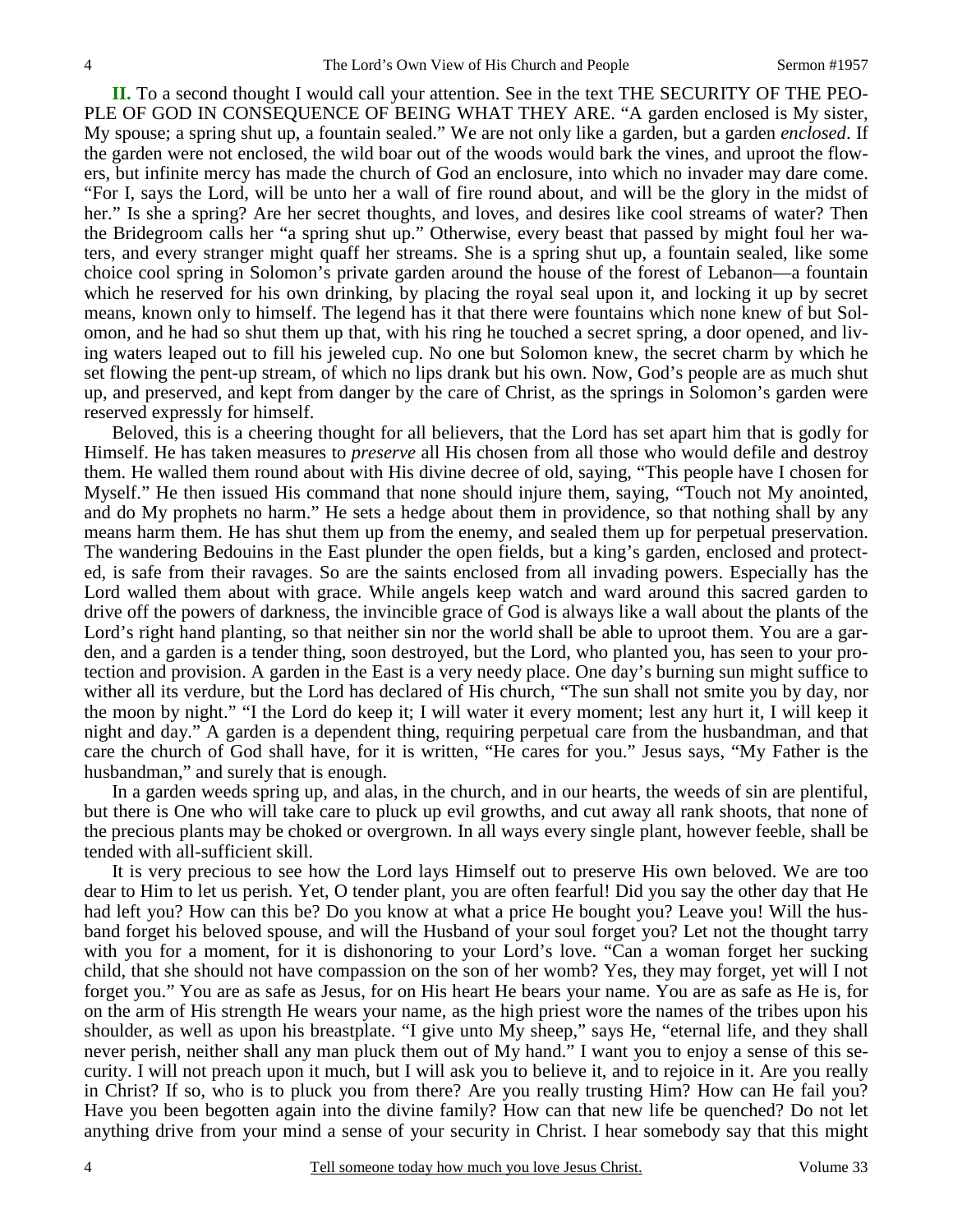**II.** To a second thought I would call your attention. See in the text THE SECURITY OF THE PEO-PLE OF GOD IN CONSEQUENCE OF BEING WHAT THEY ARE. "A garden enclosed is My sister, My spouse; a spring shut up, a fountain sealed." We are not only like a garden, but a garden *enclosed*. If the garden were not enclosed, the wild boar out of the woods would bark the vines, and uproot the flowers, but infinite mercy has made the church of God an enclosure, into which no invader may dare come. "For I, says the Lord, will be unto her a wall of fire round about, and will be the glory in the midst of her." Is she a spring? Are her secret thoughts, and loves, and desires like cool streams of water? Then the Bridegroom calls her "a spring shut up." Otherwise, every beast that passed by might foul her waters, and every stranger might quaff her streams. She is a spring shut up, a fountain sealed, like some choice cool spring in Solomon's private garden around the house of the forest of Lebanon—a fountain which he reserved for his own drinking, by placing the royal seal upon it, and locking it up by secret means, known only to himself. The legend has it that there were fountains which none knew of but Solomon, and he had so shut them up that, with his ring he touched a secret spring, a door opened, and living waters leaped out to fill his jeweled cup. No one but Solomon knew, the secret charm by which he set flowing the pent-up stream, of which no lips drank but his own. Now, God's people are as much shut up, and preserved, and kept from danger by the care of Christ, as the springs in Solomon's garden were reserved expressly for himself.

Beloved, this is a cheering thought for all believers, that the Lord has set apart him that is godly for Himself. He has taken measures to *preserve* all His chosen from all those who would defile and destroy them. He walled them round about with His divine decree of old, saying, "This people have I chosen for Myself." He then issued His command that none should injure them, saying, "Touch not My anointed, and do My prophets no harm." He sets a hedge about them in providence, so that nothing shall by any means harm them. He has shut them up from the enemy, and sealed them up for perpetual preservation. The wandering Bedouins in the East plunder the open fields, but a king's garden, enclosed and protected, is safe from their ravages. So are the saints enclosed from all invading powers. Especially has the Lord walled them about with grace. While angels keep watch and ward around this sacred garden to drive off the powers of darkness, the invincible grace of God is always like a wall about the plants of the Lord's right hand planting, so that neither sin nor the world shall be able to uproot them. You are a garden, and a garden is a tender thing, soon destroyed, but the Lord, who planted you, has seen to your protection and provision. A garden in the East is a very needy place. One day's burning sun might suffice to wither all its verdure, but the Lord has declared of His church, "The sun shall not smite you by day, nor the moon by night." "I the Lord do keep it; I will water it every moment; lest any hurt it, I will keep it night and day." A garden is a dependent thing, requiring perpetual care from the husbandman, and that care the church of God shall have, for it is written, "He cares for you." Jesus says, "My Father is the husbandman," and surely that is enough.

In a garden weeds spring up, and alas, in the church, and in our hearts, the weeds of sin are plentiful, but there is One who will take care to pluck up evil growths, and cut away all rank shoots, that none of the precious plants may be choked or overgrown. In all ways every single plant, however feeble, shall be tended with all-sufficient skill.

It is very precious to see how the Lord lays Himself out to preserve His own beloved. We are too dear to Him to let us perish. Yet, O tender plant, you are often fearful! Did you say the other day that He had left you? How can this be? Do you know at what a price He bought you? Leave you! Will the husband forget his beloved spouse, and will the Husband of your soul forget you? Let not the thought tarry with you for a moment, for it is dishonoring to your Lord's love. "Can a woman forget her sucking child, that she should not have compassion on the son of her womb? Yes, they may forget, yet will I not forget you." You are as safe as Jesus, for on His heart He bears your name. You are as safe as He is, for on the arm of His strength He wears your name, as the high priest wore the names of the tribes upon his shoulder, as well as upon his breastplate. "I give unto My sheep," says He, "eternal life, and they shall never perish, neither shall any man pluck them out of My hand." I want you to enjoy a sense of this security. I will not preach upon it much, but I will ask you to believe it, and to rejoice in it. Are you really in Christ? If so, who is to pluck you from there? Are you really trusting Him? How can He fail you? Have you been begotten again into the divine family? How can that new life be quenched? Do not let anything drive from your mind a sense of your security in Christ. I hear somebody say that this might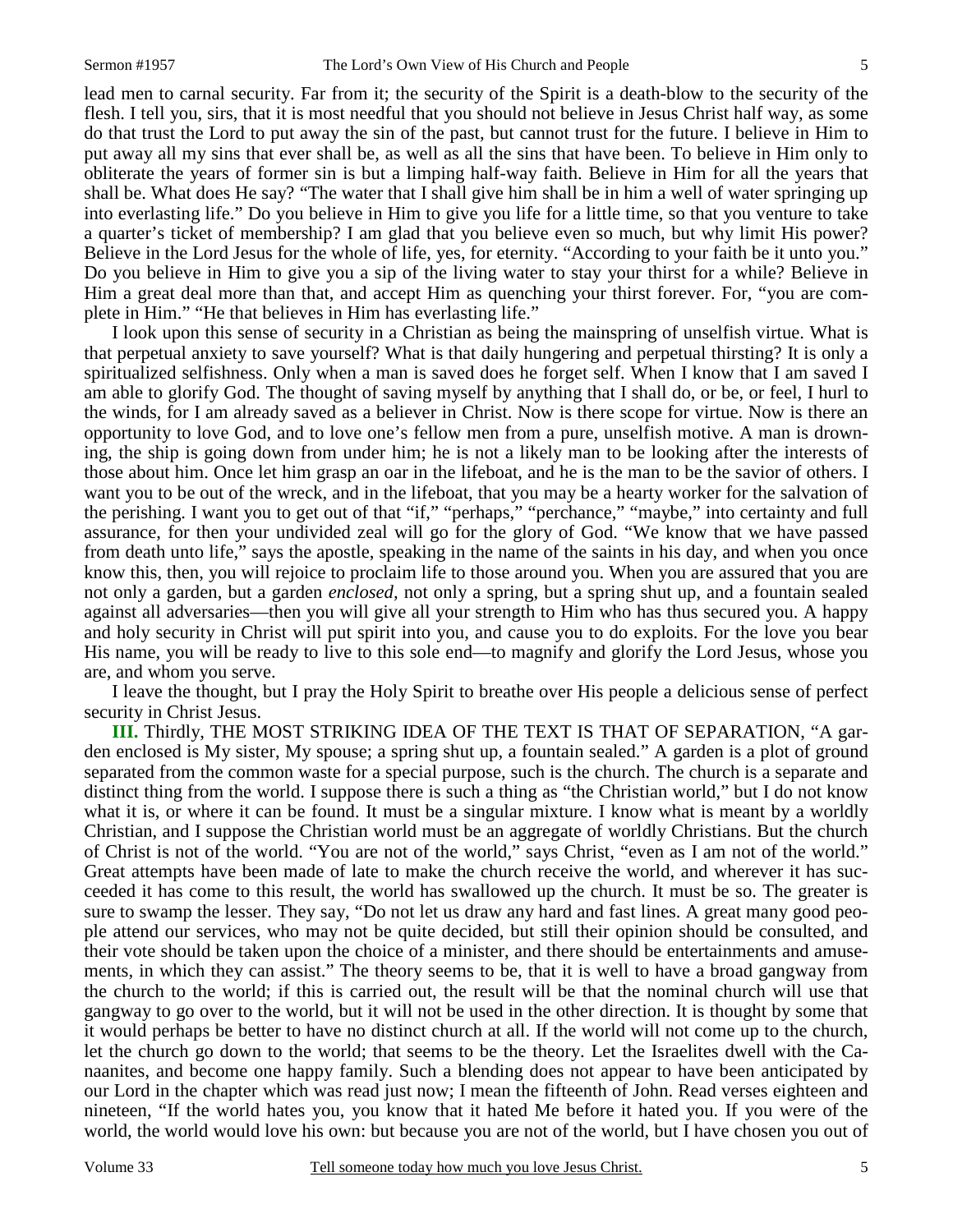lead men to carnal security. Far from it; the security of the Spirit is a death-blow to the security of the flesh. I tell you, sirs, that it is most needful that you should not believe in Jesus Christ half way, as some do that trust the Lord to put away the sin of the past, but cannot trust for the future. I believe in Him to put away all my sins that ever shall be, as well as all the sins that have been. To believe in Him only to obliterate the years of former sin is but a limping half-way faith. Believe in Him for all the years that shall be. What does He say? "The water that I shall give him shall be in him a well of water springing up into everlasting life." Do you believe in Him to give you life for a little time, so that you venture to take a quarter's ticket of membership? I am glad that you believe even so much, but why limit His power? Believe in the Lord Jesus for the whole of life, yes, for eternity. "According to your faith be it unto you." Do you believe in Him to give you a sip of the living water to stay your thirst for a while? Believe in Him a great deal more than that, and accept Him as quenching your thirst forever. For, "you are complete in Him." "He that believes in Him has everlasting life."

I look upon this sense of security in a Christian as being the mainspring of unselfish virtue. What is that perpetual anxiety to save yourself? What is that daily hungering and perpetual thirsting? It is only a spiritualized selfishness. Only when a man is saved does he forget self. When I know that I am saved I am able to glorify God. The thought of saving myself by anything that I shall do, or be, or feel, I hurl to the winds, for I am already saved as a believer in Christ. Now is there scope for virtue. Now is there an opportunity to love God, and to love one's fellow men from a pure, unselfish motive. A man is drowning, the ship is going down from under him; he is not a likely man to be looking after the interests of those about him. Once let him grasp an oar in the lifeboat, and he is the man to be the savior of others. I want you to be out of the wreck, and in the lifeboat, that you may be a hearty worker for the salvation of the perishing. I want you to get out of that "if," "perhaps," "perchance," "maybe," into certainty and full assurance, for then your undivided zeal will go for the glory of God. "We know that we have passed from death unto life," says the apostle, speaking in the name of the saints in his day, and when you once know this, then, you will rejoice to proclaim life to those around you. When you are assured that you are not only a garden, but a garden *enclosed,* not only a spring, but a spring shut up, and a fountain sealed against all adversaries—then you will give all your strength to Him who has thus secured you. A happy and holy security in Christ will put spirit into you, and cause you to do exploits. For the love you bear His name, you will be ready to live to this sole end—to magnify and glorify the Lord Jesus, whose you are, and whom you serve.

I leave the thought, but I pray the Holy Spirit to breathe over His people a delicious sense of perfect security in Christ Jesus.

**III.** Thirdly, THE MOST STRIKING IDEA OF THE TEXT IS THAT OF SEPARATION, "A garden enclosed is My sister, My spouse; a spring shut up, a fountain sealed." A garden is a plot of ground separated from the common waste for a special purpose, such is the church. The church is a separate and distinct thing from the world. I suppose there is such a thing as "the Christian world," but I do not know what it is, or where it can be found. It must be a singular mixture. I know what is meant by a worldly Christian, and I suppose the Christian world must be an aggregate of worldly Christians. But the church of Christ is not of the world. "You are not of the world," says Christ, "even as I am not of the world." Great attempts have been made of late to make the church receive the world, and wherever it has succeeded it has come to this result, the world has swallowed up the church. It must be so. The greater is sure to swamp the lesser. They say, "Do not let us draw any hard and fast lines. A great many good people attend our services, who may not be quite decided, but still their opinion should be consulted, and their vote should be taken upon the choice of a minister, and there should be entertainments and amusements, in which they can assist." The theory seems to be, that it is well to have a broad gangway from the church to the world; if this is carried out, the result will be that the nominal church will use that gangway to go over to the world, but it will not be used in the other direction. It is thought by some that it would perhaps be better to have no distinct church at all. If the world will not come up to the church, let the church go down to the world; that seems to be the theory. Let the Israelites dwell with the Canaanites, and become one happy family. Such a blending does not appear to have been anticipated by our Lord in the chapter which was read just now; I mean the fifteenth of John. Read verses eighteen and nineteen, "If the world hates you, you know that it hated Me before it hated you. If you were of the world, the world would love his own: but because you are not of the world, but I have chosen you out of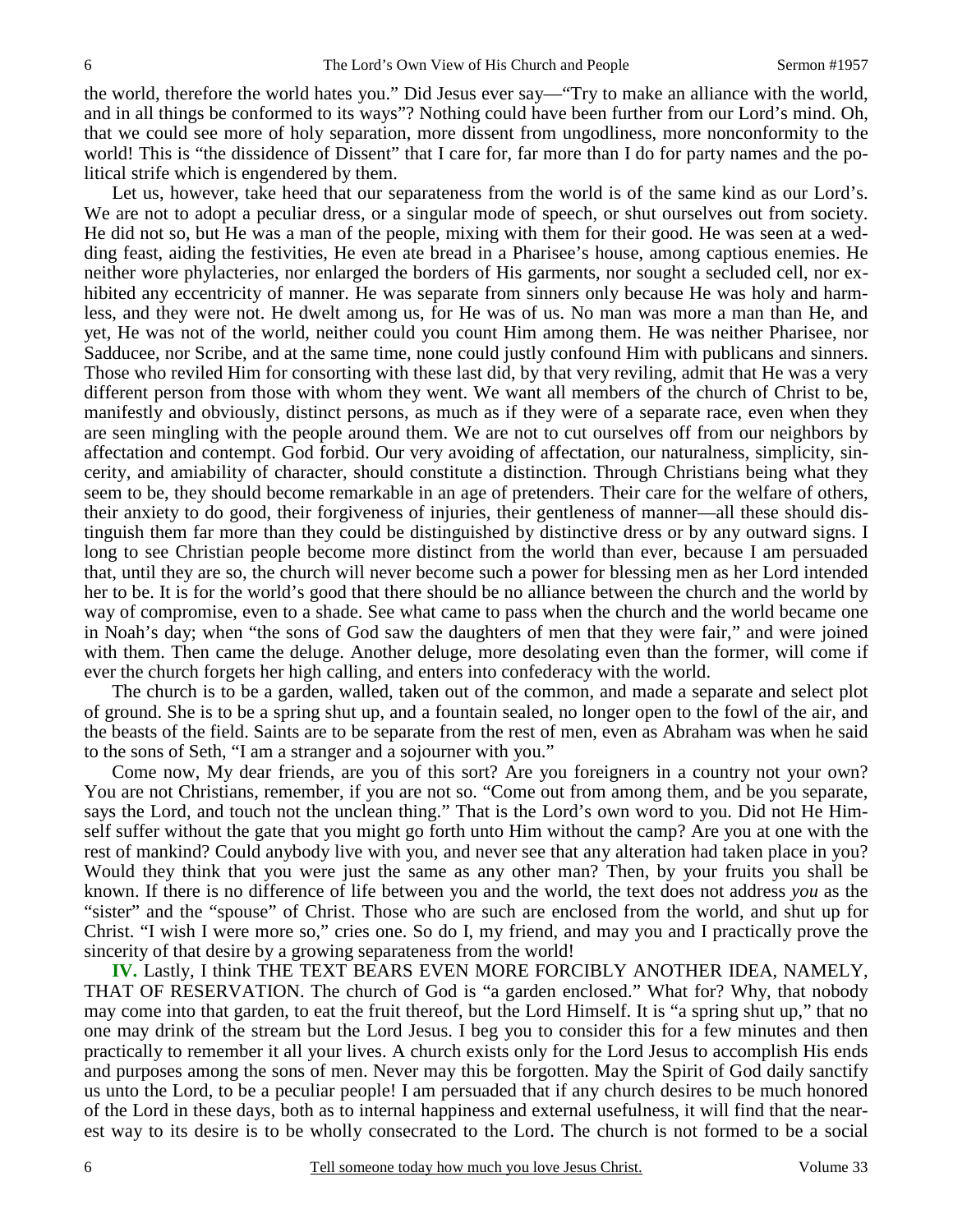the world, therefore the world hates you." Did Jesus ever say—"Try to make an alliance with the world, and in all things be conformed to its ways"? Nothing could have been further from our Lord's mind. Oh, that we could see more of holy separation, more dissent from ungodliness, more nonconformity to the world! This is "the dissidence of Dissent" that I care for, far more than I do for party names and the political strife which is engendered by them.

Let us, however, take heed that our separateness from the world is of the same kind as our Lord's. We are not to adopt a peculiar dress, or a singular mode of speech, or shut ourselves out from society. He did not so, but He was a man of the people, mixing with them for their good. He was seen at a wedding feast, aiding the festivities, He even ate bread in a Pharisee's house, among captious enemies. He neither wore phylacteries, nor enlarged the borders of His garments, nor sought a secluded cell, nor exhibited any eccentricity of manner. He was separate from sinners only because He was holy and harmless, and they were not. He dwelt among us, for He was of us. No man was more a man than He, and yet, He was not of the world, neither could you count Him among them. He was neither Pharisee, nor Sadducee, nor Scribe, and at the same time, none could justly confound Him with publicans and sinners. Those who reviled Him for consorting with these last did, by that very reviling, admit that He was a very different person from those with whom they went. We want all members of the church of Christ to be, manifestly and obviously, distinct persons, as much as if they were of a separate race, even when they are seen mingling with the people around them. We are not to cut ourselves off from our neighbors by affectation and contempt. God forbid. Our very avoiding of affectation, our naturalness, simplicity, sincerity, and amiability of character, should constitute a distinction. Through Christians being what they seem to be, they should become remarkable in an age of pretenders. Their care for the welfare of others, their anxiety to do good, their forgiveness of injuries, their gentleness of manner—all these should distinguish them far more than they could be distinguished by distinctive dress or by any outward signs. I long to see Christian people become more distinct from the world than ever, because I am persuaded that, until they are so, the church will never become such a power for blessing men as her Lord intended her to be. It is for the world's good that there should be no alliance between the church and the world by way of compromise, even to a shade. See what came to pass when the church and the world became one in Noah's day; when "the sons of God saw the daughters of men that they were fair," and were joined with them. Then came the deluge. Another deluge, more desolating even than the former, will come if ever the church forgets her high calling, and enters into confederacy with the world.

The church is to be a garden, walled, taken out of the common, and made a separate and select plot of ground. She is to be a spring shut up, and a fountain sealed, no longer open to the fowl of the air, and the beasts of the field. Saints are to be separate from the rest of men, even as Abraham was when he said to the sons of Seth, "I am a stranger and a sojourner with you."

Come now, My dear friends, are you of this sort? Are you foreigners in a country not your own? You are not Christians, remember, if you are not so. "Come out from among them, and be you separate, says the Lord, and touch not the unclean thing." That is the Lord's own word to you. Did not He Himself suffer without the gate that you might go forth unto Him without the camp? Are you at one with the rest of mankind? Could anybody live with you, and never see that any alteration had taken place in you? Would they think that you were just the same as any other man? Then, by your fruits you shall be known. If there is no difference of life between you and the world, the text does not address *you* as the "sister" and the "spouse" of Christ. Those who are such are enclosed from the world, and shut up for Christ. "I wish I were more so," cries one. So do I, my friend, and may you and I practically prove the sincerity of that desire by a growing separateness from the world!

**IV.** Lastly, I think THE TEXT BEARS EVEN MORE FORCIBLY ANOTHER IDEA, NAMELY, THAT OF RESERVATION. The church of God is "a garden enclosed." What for? Why, that nobody may come into that garden, to eat the fruit thereof, but the Lord Himself. It is "a spring shut up," that no one may drink of the stream but the Lord Jesus. I beg you to consider this for a few minutes and then practically to remember it all your lives. A church exists only for the Lord Jesus to accomplish His ends and purposes among the sons of men. Never may this be forgotten. May the Spirit of God daily sanctify us unto the Lord, to be a peculiar people! I am persuaded that if any church desires to be much honored of the Lord in these days, both as to internal happiness and external usefulness, it will find that the nearest way to its desire is to be wholly consecrated to the Lord. The church is not formed to be a social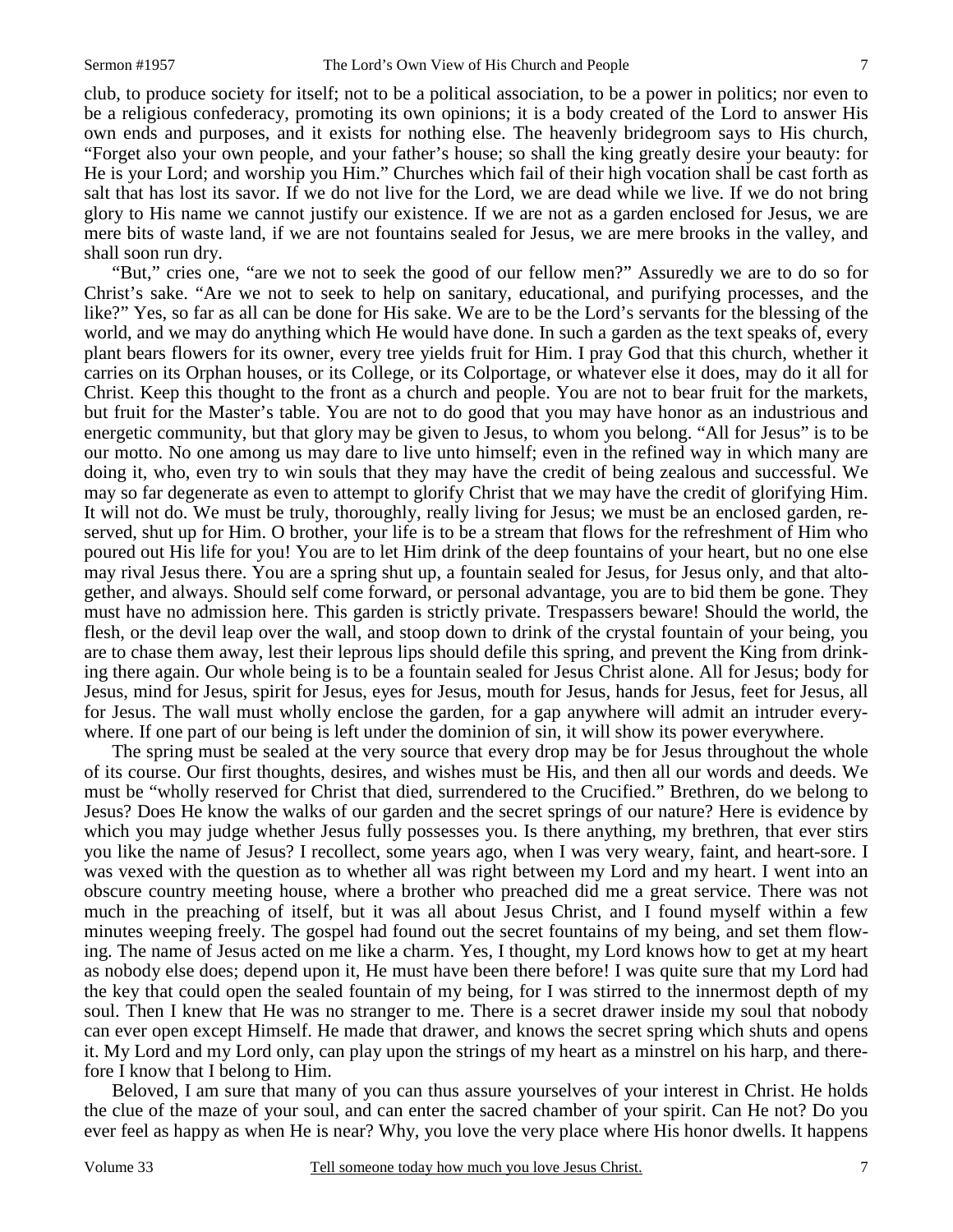club, to produce society for itself; not to be a political association, to be a power in politics; nor even to be a religious confederacy, promoting its own opinions; it is a body created of the Lord to answer His own ends and purposes, and it exists for nothing else. The heavenly bridegroom says to His church, "Forget also your own people, and your father's house; so shall the king greatly desire your beauty: for He is your Lord; and worship you Him." Churches which fail of their high vocation shall be cast forth as salt that has lost its savor. If we do not live for the Lord, we are dead while we live. If we do not bring glory to His name we cannot justify our existence. If we are not as a garden enclosed for Jesus, we are mere bits of waste land, if we are not fountains sealed for Jesus, we are mere brooks in the valley, and shall soon run dry.

"But," cries one, "are we not to seek the good of our fellow men?" Assuredly we are to do so for Christ's sake. "Are we not to seek to help on sanitary, educational, and purifying processes, and the like?" Yes, so far as all can be done for His sake. We are to be the Lord's servants for the blessing of the world, and we may do anything which He would have done. In such a garden as the text speaks of, every plant bears flowers for its owner, every tree yields fruit for Him. I pray God that this church, whether it carries on its Orphan houses, or its College, or its Colportage, or whatever else it does, may do it all for Christ. Keep this thought to the front as a church and people. You are not to bear fruit for the markets, but fruit for the Master's table. You are not to do good that you may have honor as an industrious and energetic community, but that glory may be given to Jesus, to whom you belong. "All for Jesus" is to be our motto. No one among us may dare to live unto himself; even in the refined way in which many are doing it, who, even try to win souls that they may have the credit of being zealous and successful. We may so far degenerate as even to attempt to glorify Christ that we may have the credit of glorifying Him. It will not do. We must be truly, thoroughly, really living for Jesus; we must be an enclosed garden, reserved, shut up for Him. O brother, your life is to be a stream that flows for the refreshment of Him who poured out His life for you! You are to let Him drink of the deep fountains of your heart, but no one else may rival Jesus there. You are a spring shut up, a fountain sealed for Jesus, for Jesus only, and that altogether, and always. Should self come forward, or personal advantage, you are to bid them be gone. They must have no admission here. This garden is strictly private. Trespassers beware! Should the world, the flesh, or the devil leap over the wall, and stoop down to drink of the crystal fountain of your being, you are to chase them away, lest their leprous lips should defile this spring, and prevent the King from drinking there again. Our whole being is to be a fountain sealed for Jesus Christ alone. All for Jesus; body for Jesus, mind for Jesus, spirit for Jesus, eyes for Jesus, mouth for Jesus, hands for Jesus, feet for Jesus, all for Jesus. The wall must wholly enclose the garden, for a gap anywhere will admit an intruder everywhere. If one part of our being is left under the dominion of sin, it will show its power everywhere.

The spring must be sealed at the very source that every drop may be for Jesus throughout the whole of its course. Our first thoughts, desires, and wishes must be His, and then all our words and deeds. We must be "wholly reserved for Christ that died, surrendered to the Crucified." Brethren, do we belong to Jesus? Does He know the walks of our garden and the secret springs of our nature? Here is evidence by which you may judge whether Jesus fully possesses you. Is there anything, my brethren, that ever stirs you like the name of Jesus? I recollect, some years ago, when I was very weary, faint, and heart-sore. I was vexed with the question as to whether all was right between my Lord and my heart. I went into an obscure country meeting house, where a brother who preached did me a great service. There was not much in the preaching of itself, but it was all about Jesus Christ, and I found myself within a few minutes weeping freely. The gospel had found out the secret fountains of my being, and set them flowing. The name of Jesus acted on me like a charm. Yes, I thought, my Lord knows how to get at my heart as nobody else does; depend upon it, He must have been there before! I was quite sure that my Lord had the key that could open the sealed fountain of my being, for I was stirred to the innermost depth of my soul. Then I knew that He was no stranger to me. There is a secret drawer inside my soul that nobody can ever open except Himself. He made that drawer, and knows the secret spring which shuts and opens it. My Lord and my Lord only, can play upon the strings of my heart as a minstrel on his harp, and therefore I know that I belong to Him.

Beloved, I am sure that many of you can thus assure yourselves of your interest in Christ. He holds the clue of the maze of your soul, and can enter the sacred chamber of your spirit. Can He not? Do you ever feel as happy as when He is near? Why, you love the very place where His honor dwells. It happens